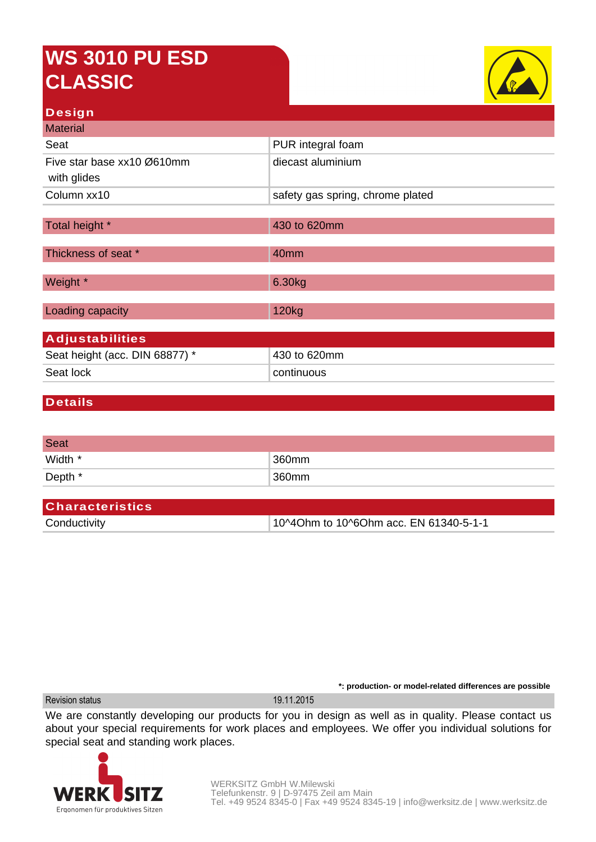## **WS 3010 PU ESD CLASSIC**



## **Design**

| <b>Material</b>                |                                  |  |
|--------------------------------|----------------------------------|--|
| Seat                           | PUR integral foam                |  |
| Five star base xx10 Ø610mm     | diecast aluminium                |  |
| with glides                    |                                  |  |
| Column xx10                    | safety gas spring, chrome plated |  |
|                                |                                  |  |
| Total height *                 | 430 to 620mm                     |  |
| Thickness of seat *            | 40mm                             |  |
|                                |                                  |  |
| Weight *                       | 6.30kg                           |  |
|                                |                                  |  |
| Loading capacity               | 120 <sub>kg</sub>                |  |
|                                |                                  |  |
| <b>Adjustabilities</b>         |                                  |  |
| Seat height (acc. DIN 68877) * | 430 to 620mm                     |  |
| Seat lock                      | continuous                       |  |
|                                |                                  |  |

## **Details**

| <b>Seat</b> |       |
|-------------|-------|
| Width *     | 360mm |
| Depth *     | 360mm |

| <b>Characteristics</b> |                                        |
|------------------------|----------------------------------------|
| Conductivity           | 10^4Ohm to 10^6Ohm acc. EN 61340-5-1-1 |

Revision status 19.11.2015

We are constantly developing our products for you in design as well as in quality. Please contact us about your special requirements for work places and employees. We offer you individual solutions for special seat and standing work places.



**\*: production- or model-related differences are possible**